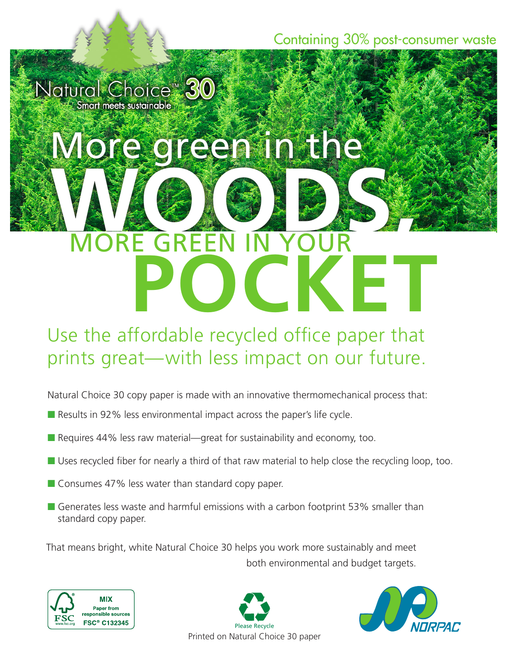Containing 30% post-consumer waste

Natural Choice™ 30 mart meets sustainable

# More green in the **WORE GREEN IN YOUR**

MORE GREEN IN YOUR

### **POCKET** Use the affordable recycled office paper that prints great—with less impact on our future.

Natural Choice 30 copy paper is made with an innovative thermomechanical process that:

- Results in 92% less environmental impact across the paper's life cycle.
- $\blacksquare$  Requires 44% less raw material—great for sustainability and economy, too.
- $\blacksquare$  Uses recycled fiber for nearly a third of that raw material to help close the recycling loop, too.
- $\blacksquare$  Consumes 47% less water than standard copy paper.
- Generates less waste and harmful emissions with a carbon footprint 53% smaller than standard copy paper.

That means bright, white Natural Choice 30 helps you work more sustainably and meet both environmental and budget targets.